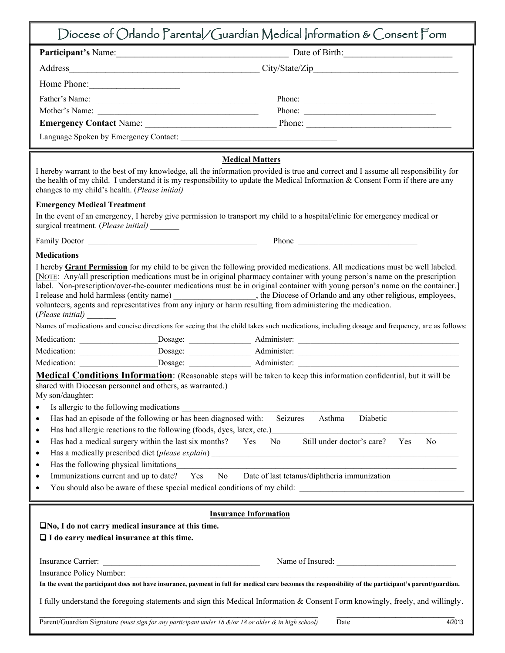| Diocese of Orlando Parental/Guardian Medical Information & Consent Form                                                                                                                                                                                                                                                                                                                                                                                                                                                                                                                                                                                                                                                                                                                                                                                                                                                                                                                                                                                                                                                                                                                                                                                                                                                                                                                                                                  |                                                                                                                                                                                                                               |
|------------------------------------------------------------------------------------------------------------------------------------------------------------------------------------------------------------------------------------------------------------------------------------------------------------------------------------------------------------------------------------------------------------------------------------------------------------------------------------------------------------------------------------------------------------------------------------------------------------------------------------------------------------------------------------------------------------------------------------------------------------------------------------------------------------------------------------------------------------------------------------------------------------------------------------------------------------------------------------------------------------------------------------------------------------------------------------------------------------------------------------------------------------------------------------------------------------------------------------------------------------------------------------------------------------------------------------------------------------------------------------------------------------------------------------------|-------------------------------------------------------------------------------------------------------------------------------------------------------------------------------------------------------------------------------|
|                                                                                                                                                                                                                                                                                                                                                                                                                                                                                                                                                                                                                                                                                                                                                                                                                                                                                                                                                                                                                                                                                                                                                                                                                                                                                                                                                                                                                                          |                                                                                                                                                                                                                               |
|                                                                                                                                                                                                                                                                                                                                                                                                                                                                                                                                                                                                                                                                                                                                                                                                                                                                                                                                                                                                                                                                                                                                                                                                                                                                                                                                                                                                                                          |                                                                                                                                                                                                                               |
| Home Phone:                                                                                                                                                                                                                                                                                                                                                                                                                                                                                                                                                                                                                                                                                                                                                                                                                                                                                                                                                                                                                                                                                                                                                                                                                                                                                                                                                                                                                              |                                                                                                                                                                                                                               |
|                                                                                                                                                                                                                                                                                                                                                                                                                                                                                                                                                                                                                                                                                                                                                                                                                                                                                                                                                                                                                                                                                                                                                                                                                                                                                                                                                                                                                                          | Phone:                                                                                                                                                                                                                        |
| Mother's Name:                                                                                                                                                                                                                                                                                                                                                                                                                                                                                                                                                                                                                                                                                                                                                                                                                                                                                                                                                                                                                                                                                                                                                                                                                                                                                                                                                                                                                           | Phone:                                                                                                                                                                                                                        |
|                                                                                                                                                                                                                                                                                                                                                                                                                                                                                                                                                                                                                                                                                                                                                                                                                                                                                                                                                                                                                                                                                                                                                                                                                                                                                                                                                                                                                                          |                                                                                                                                                                                                                               |
|                                                                                                                                                                                                                                                                                                                                                                                                                                                                                                                                                                                                                                                                                                                                                                                                                                                                                                                                                                                                                                                                                                                                                                                                                                                                                                                                                                                                                                          |                                                                                                                                                                                                                               |
| <b>Medical Matters</b><br>I hereby warrant to the best of my knowledge, all the information provided is true and correct and I assume all responsibility for<br>the health of my child. I understand it is my responsibility to update the Medical Information $\&$ Consent Form if there are any<br>changes to my child's health. (Please initial)                                                                                                                                                                                                                                                                                                                                                                                                                                                                                                                                                                                                                                                                                                                                                                                                                                                                                                                                                                                                                                                                                      |                                                                                                                                                                                                                               |
| <b>Emergency Medical Treatment</b>                                                                                                                                                                                                                                                                                                                                                                                                                                                                                                                                                                                                                                                                                                                                                                                                                                                                                                                                                                                                                                                                                                                                                                                                                                                                                                                                                                                                       |                                                                                                                                                                                                                               |
| In the event of an emergency, I hereby give permission to transport my child to a hospital/clinic for emergency medical or<br>surgical treatment. (Please initial) _______                                                                                                                                                                                                                                                                                                                                                                                                                                                                                                                                                                                                                                                                                                                                                                                                                                                                                                                                                                                                                                                                                                                                                                                                                                                               |                                                                                                                                                                                                                               |
|                                                                                                                                                                                                                                                                                                                                                                                                                                                                                                                                                                                                                                                                                                                                                                                                                                                                                                                                                                                                                                                                                                                                                                                                                                                                                                                                                                                                                                          |                                                                                                                                                                                                                               |
| <b>Medications</b><br>I hereby <b>Grant Permission</b> for my child to be given the following provided medications. All medications must be well labeled.<br>[NOTE: Any/all prescription medications must be in original pharmacy container with young person's name on the prescription<br>label. Non-prescription/over-the-counter medications must be in original container with young person's name on the container.]<br>I release and hold harmless (entity name) __________________, the Diocese of Orlando and any other religious, employees, volunteers, agents and representatives from any injury or harm resulting from administering the medic<br>(Please initial)<br>Names of medications and concise directions for seeing that the child takes such medications, including dosage and frequency, are as follows:<br>Medical Conditions Information: (Reasonable steps will be taken to keep this information confidential, but it will be<br>shared with Diocesan personnel and others, as warranted.)<br>My son/daughter:<br>Is allergic to the following medications<br>Has had an episode of the following or has been diagnosed with:<br>$\bullet$<br>Has had allergic reactions to the following (foods, dyes, latex, etc.)<br>$\bullet$<br>Has had a medical surgery within the last six months?<br>Yes<br>$\bullet$<br>٠<br>Has the following physical limitations<br>٠<br>Immunizations current and up to date? | Seizures<br>Diabetic<br>Asthma<br>Still under doctor's care?<br>N <sub>0</sub><br>N <sub>0</sub><br>Yes<br><u> 1980 - Andrea Station, amerikansk politik (d. 1980)</u><br>Yes No Date of last tetanus/diphtheria immunization |
| <b>Insurance Information</b><br>$\square$ No, I do not carry medical insurance at this time.<br>$\Box$ I do carry medical insurance at this time.<br><u> 2002 - Jan James James Barnett, amerikansk politiker (</u><br>Insurance Carrier:<br>In the event the participant does not have insurance, payment in full for medical care becomes the responsibility of the participant's parent/guardian.<br>I fully understand the foregoing statements and sign this Medical Information & Consent Form knowingly, freely, and willingly.                                                                                                                                                                                                                                                                                                                                                                                                                                                                                                                                                                                                                                                                                                                                                                                                                                                                                                   | Name of Insured:                                                                                                                                                                                                              |
| Parent/Guardian Signature (must sign for any participant under 18 &/or 18 or older & in high school)                                                                                                                                                                                                                                                                                                                                                                                                                                                                                                                                                                                                                                                                                                                                                                                                                                                                                                                                                                                                                                                                                                                                                                                                                                                                                                                                     | 4/2013<br>Date                                                                                                                                                                                                                |